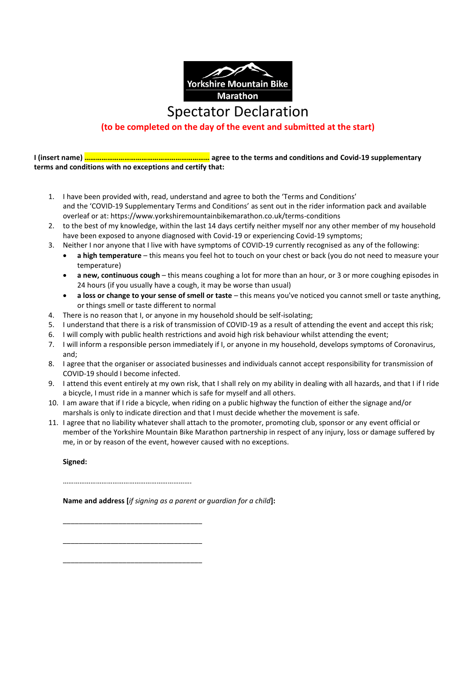

## **(to be completed on the day of the event and submitted at the start)**

**I (insert name) ………………………………………………………… agree to the terms and conditions and Covid-19 supplementary terms and conditions with no exceptions and certify that:**

- 1. I have been provided with, read, understand and agree to both the 'Terms and Conditions' and the 'COVID-19 Supplementary Terms and Conditions' as sent out in the rider information pack and available overleaf or at: https://www.yorkshiremountainbikemarathon.co.uk/terms-conditions
- 2. to the best of my knowledge, within the last 14 days certify neither myself nor any other member of my household have been exposed to anyone diagnosed with Covid-19 or experiencing Covid-19 symptoms;
- 3. Neither I nor anyone that I live with have symptoms of COVID-19 currently recognised as any of the following:
	- **a high temperature** this means you feel hot to touch on your chest or back (you do not need to measure your temperature)
	- **a new, continuous cough** this means coughing a lot for more than an hour, or 3 or more coughing episodes in 24 hours (if you usually have a cough, it may be worse than usual)
	- **a loss or change to your sense of smell or taste** this means you've noticed you cannot smell or taste anything, or things smell or taste different to normal
- 4. There is no reason that I, or anyone in my household should be self-isolating;
- 5. I understand that there is a risk of transmission of COVID-19 as a result of attending the event and accept this risk;
- 6. I will comply with public health restrictions and avoid high risk behaviour whilst attending the event;
- 7. I will inform a responsible person immediately if I, or anyone in my household, develops symptoms of Coronavirus, and;
- 8. I agree that the organiser or associated businesses and individuals cannot accept responsibility for transmission of COVID-19 should I become infected.
- 9. I attend this event entirely at my own risk, that I shall rely on my ability in dealing with all hazards, and that I if I ride a bicycle, I must ride in a manner which is safe for myself and all others.
- 10. I am aware that if I ride a bicycle, when riding on a public highway the function of either the signage and/or marshals is only to indicate direction and that I must decide whether the movement is safe.
- 11. I agree that no liability whatever shall attach to the promoter, promoting club, sponsor or any event official or member of the Yorkshire Mountain Bike Marathon partnership in respect of any injury, loss or damage suffered by me, in or by reason of the event, however caused with no exceptions.

**Signed:**

…………………………………………………………….

**Name and address [***if signing as a parent or guardian for a child***]:**

\_\_\_\_\_\_\_\_\_\_\_\_\_\_\_\_\_\_\_\_\_\_\_\_\_\_\_\_\_\_\_\_\_\_\_ \_\_\_\_\_\_\_\_\_\_\_\_\_\_\_\_\_\_\_\_\_\_\_\_\_\_\_\_\_\_\_\_\_\_\_

\_\_\_\_\_\_\_\_\_\_\_\_\_\_\_\_\_\_\_\_\_\_\_\_\_\_\_\_\_\_\_\_\_\_\_